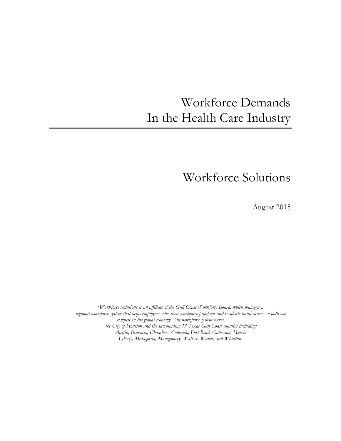# Workforce Demands In the Health Care Industry

## Workforce Solutions

August 2015

*\*Workforce Solutions is an affiliate of the Gulf Coast Workforce Board, which manages a regional workforce system that helps employers solve their workforce problems and residents build careers so both can compete in the global economy. The workforce system serves the City of Houston and the surrounding 13 Texas Gulf Coast counties including: Austin, Brazoria, Chambers, Colorado, Fort Bend, Galveston, Harris Liberty, Matagorda, Montgomery, Walker, Waller, and Wharton.*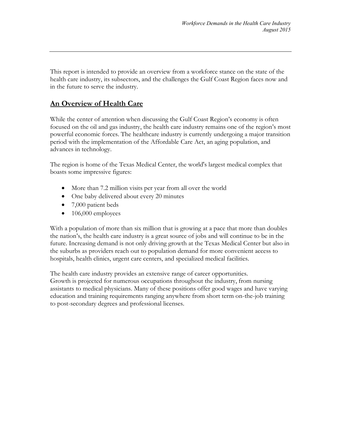This report is intended to provide an overview from a workforce stance on the state of the health care industry, its subsectors, and the challenges the Gulf Coast Region faces now and in the future to serve the industry.

## **An Overview of Health Care**

While the center of attention when discussing the Gulf Coast Region's economy is often focused on the oil and gas industry, the health care industry remains one of the region's most powerful economic forces. The healthcare industry is currently undergoing a major transition period with the implementation of the Affordable Care Act, an aging population, and advances in technology.

The region is home of the Texas Medical Center, the world's largest medical complex that boasts some impressive figures:

- More than 7.2 million visits per year from all over the world
- One baby delivered about every 20 minutes
- 7,000 patient beds
- $\bullet$  106,000 employees

With a population of more than six million that is growing at a pace that more than doubles the nation's, the health care industry is a great source of jobs and will continue to be in the future. Increasing demand is not only driving growth at the Texas Medical Center but also in the suburbs as providers reach out to population demand for more convenient access to hospitals, health clinics, urgent care centers, and specialized medical facilities.

The health care industry provides an extensive range of career opportunities. Growth is projected for numerous occupations throughout the industry, from nursing assistants to medical physicians. Many of these positions offer good wages and have varying education and training requirements ranging anywhere from short term on-the-job training to post-secondary degrees and professional licenses.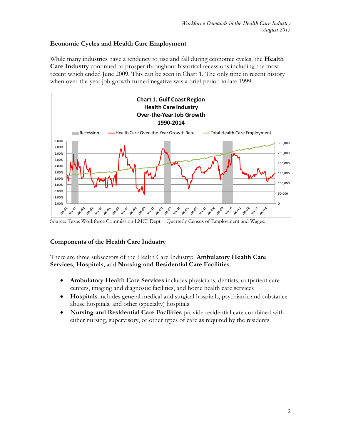## **Economic Cycles and Health Care Employment**

While many industries have a tendency to rise and fall during economic cycles, the **Health Care Industry** continued to prosper throughout historical recessions including the most recent which ended June 2009. This can be seen in Chart 1. The only time in recent history when over-the-year job growth turned negative was a brief period in late 1999.



Source: Texas Workforce Commission LMCI Dept. - Quarterly Census of Employment and Wages.

## **Components of the Health Care Industry**

There are three subsectors of the Health Care Industry: **Ambulatory Health Care Services**, **Hospitals**, and **Nursing and Residential Care Facilities**.

- **Ambulatory Health Care Services** includes physicians, dentists, outpatient care centers, imaging and diagnostic facilities, and home health care services
- **Hospitals** includes general medical and surgical hospitals, psychiatric and substance abuse hospitals, and other (specialty) hospitals
- **Nursing and Residential Care Facilities** provide residential care combined with either nursing, supervisory, or other types of care as required by the residents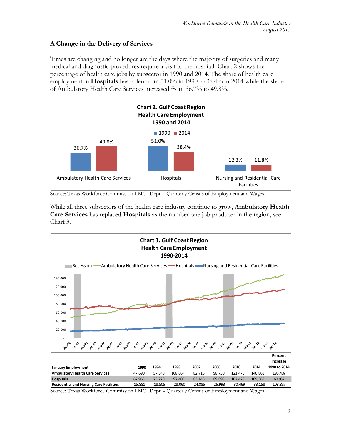## **A Change in the Delivery of Services**

Times are changing and no longer are the days where the majority of surgeries and many medical and diagnostic procedures require a visit to the hospital. Chart 2 shows the percentage of health care jobs by subsector in 1990 and 2014. The share of health care employment in **Hospitals** has fallen from 51.0% in 1990 to 38.4% in 2014 while the share of Ambulatory Health Care Services increased from 36.7% to 49.8%.



Source: Texas Workforce Commission LMCI Dept. - Quarterly Census of Employment and Wages.

While all three subsectors of the health care industry continue to grow, **Ambulatory Health Care Services** has replaced **Hospitals** as the number one job producer in the region, see Chart 3.

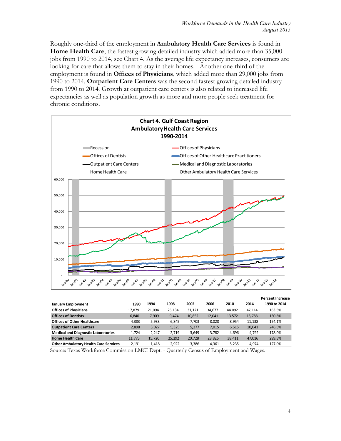Roughly one-third of the employment in **Ambulatory Health Care Services** is found in **Home Health Care**, the fastest growing detailed industry which added more than 35,000 jobs from 1990 to 2014, see Chart 4. As the average life expectancy increases, consumers are looking for care that allows them to stay in their homes. Another one-third of the employment is found in **Offices of Physicians**, which added more than 29,000 jobs from 1990 to 2014. **Outpatient Care Centers** was the second fastest growing detailed industry from 1990 to 2014. Growth at outpatient care centers is also related to increased life expectancies as well as population growth as more and more people seek treatment for chronic conditions.

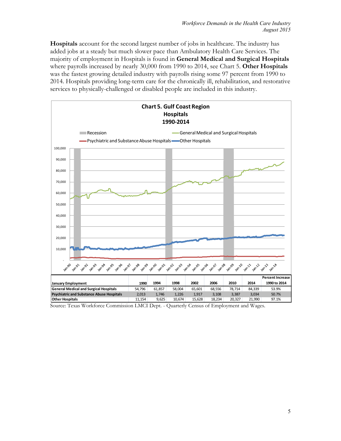**Hospitals** account for the second largest number of jobs in healthcare. The industry has added jobs at a steady but much slower pace than Ambulatory Health Care Services. The majority of employment in Hospitals is found in **General Medical and Surgical Hospitals**  where payrolls increased by nearly 30,000 from 1990 to 2014, see Chart 5. **Other Hospitals** was the fastest growing detailed industry with payrolls rising some 97 percent from 1990 to 2014. Hospitals providing long-term care for the chronically ill, rehabilitation, and restorative services to physically-challenged or disabled people are included in this industry.

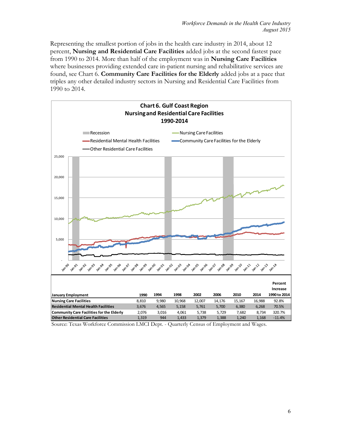Representing the smallest portion of jobs in the health care industry in 2014, about 12 percent, **Nursing and Residential Care Facilities** added jobs at the second fastest pace from 1990 to 2014. More than half of the employment was in **Nursing Care Facilities**  where businesses providing extended care in-patient nursing and rehabilitative services are found, see Chart 6. **Community Care Facilities for the Elderly** added jobs at a pace that triples any other detailed industry sectors in Nursing and Residential Care Facilities from 1990 to 2014.

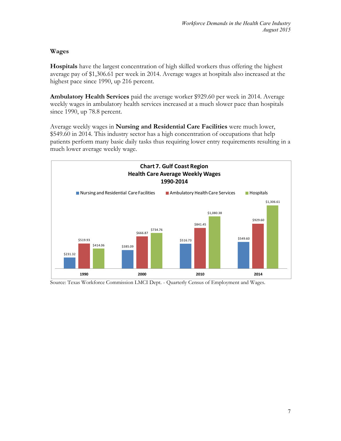## **Wages**

**Hospitals** have the largest concentration of high skilled workers thus offering the highest average pay of \$1,306.61 per week in 2014. Average wages at hospitals also increased at the highest pace since 1990, up 216 percent.

**Ambulatory Health Services** paid the average worker \$929.60 per week in 2014. Average weekly wages in ambulatory health services increased at a much slower pace than hospitals since 1990, up 78.8 percent.

Average weekly wages in **Nursing and Residential Care Facilities** were much lower, \$549.60 in 2014. This industry sector has a high concentration of occupations that help patients perform many basic daily tasks thus requiring lower entry requirements resulting in a much lower average weekly wage.



Source: Texas Workforce Commission LMCI Dept. - Quarterly Census of Employment and Wages.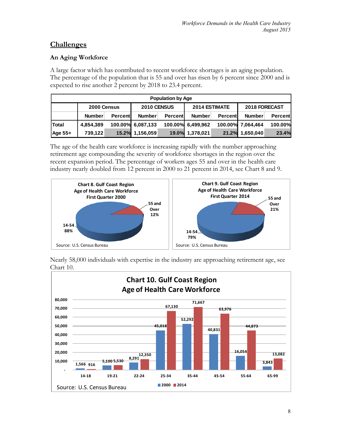## **Challenges**

## **An Aging Workforce**

A large factor which has contributed to recent workforce shortages is an aging population. The percentage of the population that is 55 and over has risen by 6 percent since 2000 and is expected to rise another 2 percent by 2018 to 23.4 percent.

| <b>Population by Age</b> |                            |          |                   |          |                   |               |                   |          |  |
|--------------------------|----------------------------|----------|-------------------|----------|-------------------|---------------|-------------------|----------|--|
|                          | 2010 CENSUS<br>2000 Census |          |                   |          |                   | 2014 ESTIMATE | 2018 FORECAST     |          |  |
|                          | <b>Number</b>              | Percentl | <b>Number</b>     | Percentl | <b>Number</b>     | Percent       | <b>Number</b>     | Percentl |  |
| <b>Total</b>             | 4,854,389                  |          | 100.00% 6,087,133 |          | 100.00% 6,499,962 |               | 100.00% 7,064,464 | 100.00%  |  |
| Age 55+                  | 739,122                    |          | 15.2% 1,156,059   |          | 19.0% 1,378,021   | 21.2%         | 1,650,040         | 23.4%    |  |

The age of the health care workforce is increasing rapidly with the number approaching retirement age compounding the severity of workforce shortages in the region over the recent expansion period. The percentage of workers ages 55 and over in the health care industry nearly doubled from 12 percent in 2000 to 21 percent in 2014, see Chart 8 and 9.



Nearly 58,000 individuals with expertise in the industry are approaching retirement age, see Chart 10.

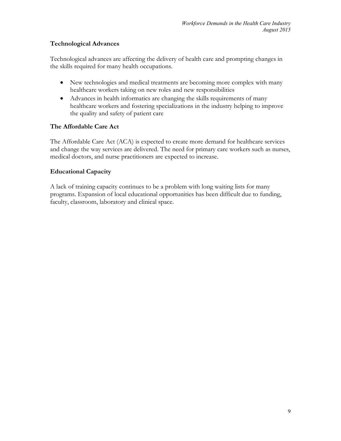## **Technological Advances**

Technological advances are affecting the delivery of health care and prompting changes in the skills required for many health occupations.

- New technologies and medical treatments are becoming more complex with many healthcare workers taking on new roles and new responsibilities
- Advances in health informatics are changing the skills requirements of many healthcare workers and fostering specializations in the industry helping to improve the quality and safety of patient care

## **The Affordable Care Act**

The Affordable Care Act (ACA) is expected to create more demand for healthcare services and change the way services are delivered. The need for primary care workers such as nurses, medical doctors, and nurse practitioners are expected to increase.

## **Educational Capacity**

A lack of training capacity continues to be a problem with long waiting lists for many programs. Expansion of local educational opportunities has been difficult due to funding, faculty, classroom, laboratory and clinical space.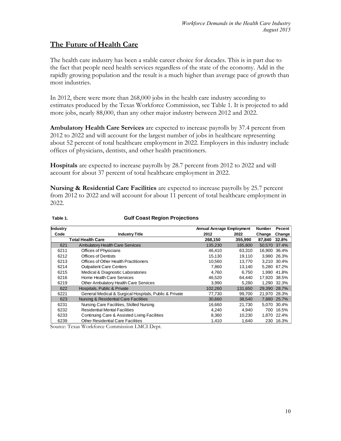## **The Future of Health Care**

The health care industry has been a stable career choice for decades. This is in part due to the fact that people need health services regardless of the state of the economy. Add in the rapidly growing population and the result is a much higher than average pace of growth than most industries.

In 2012, there were more than 268,000 jobs in the health care industry according to estimates produced by the Texas Workforce Commission, see Table 1. It is projected to add more jobs, nearly 88,000, than any other major industry between 2012 and 2022.

**Ambulatory Health Care Services** are expected to increase payrolls by 37.4 percent from 2012 to 2022 and will account for the largest number of jobs in healthcare representing about 52 percent of total healthcare employment in 2022. Employers in this industry include offices of physicians, dentists, and other health practitioners.

**Hospitals** are expected to increase payrolls by 28.7 percent from 2012 to 2022 and will account for about 37 percent of total healthcare employment in 2022.

**Nursing & Residential Care Facilities** are expected to increase payrolls by 25.7 percent from 2012 to 2022 and will account for about 11 percent of total healthcare employment in 2022.

| Industry |                                                        | Annual Average Employment |         | Number | Pecent      |
|----------|--------------------------------------------------------|---------------------------|---------|--------|-------------|
| Code     | <b>Industry Title</b>                                  | 2012                      | 2022    | Change | Change      |
|          | Total Health Care                                      | 268,150                   | 355,990 | 87,840 | 32.8%       |
| 621      | <b>Ambulatory Health Care Services</b>                 | 135,230                   | 185,800 | 50,570 | 37.4%       |
| 6211     | Offices of Physicians                                  | 46.410                    | 63.310  | 16.900 | 36.4%       |
| 6212     | Offices of Dentists                                    | 15,130                    | 19.110  | 3.980  | 26.3%       |
| 6213     | Offices of Other Health Practitioners                  | 10.560                    | 13.770  |        | 3.210 30.4% |
| 6214     | <b>Outpatient Care Centers</b>                         | 7.860                     | 13,140  |        | 5,280 67.2% |
| 6215     | Medical & Diagnostic Laboratories                      | 4,760                     | 6.750   | 1.990  | 41.8%       |
| 6216     | Home Health Care Services                              | 46,520                    | 64.440  | 17.920 | 38.5%       |
| 6219     | Other Ambulatory Health Care Services                  | 3,990                     | 5,280   | 1,290  | 32.3%       |
| 622      | Hospitals, Public & Private                            | 102.260                   | 131.650 | 29.390 | 28.7%       |
| 6221     | General Medical & Surgical Hospitals, Public & Private | 77,730                    | 99.700  | 21.970 | 28.3%       |
| 623      | Nursing & Residential Care Facilities                  | 30,660                    | 38.540  | 7.880  | 25.7%       |
| 6231     | Nursing Care Facilities, Skilled Nursing               | 16,660                    | 21,730  | 5.070  | 30.4%       |
| 6232     | <b>Residential Mental Facilities</b>                   | 4,240                     | 4.940   | 700    | 16.5%       |
| 6233     | Continuing Care & Assisted Living Facilities           | 8,360                     | 10.230  |        | 1.870 22.4% |
| 6239     | <b>Other Residential Care Facilities</b>               | 1.410                     | 1.640   | 230    | 16.3%       |

#### **Table 1. Gulf Coast Region Projections**

Source: Texas Workforce Commission LMCI Dept.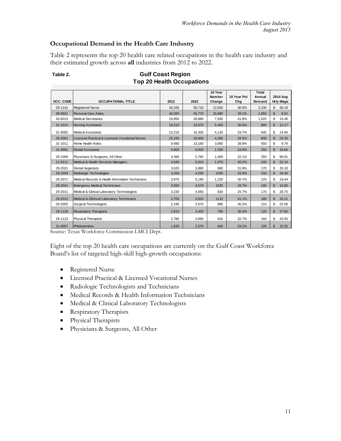## **Occupational Demand in the Health Care Industry**

Table 2 represents the top 20 health care related occupations in the health care industry and their estimated growth across **all** industries from 2012 to 2022.

|           |                                                  |        |        | 10 Year                 |                    | Total            |                       |       |
|-----------|--------------------------------------------------|--------|--------|-------------------------|--------------------|------------------|-----------------------|-------|
| OCC. CODE | <b>OCCUPATIONAL TITLE</b>                        | 2012   | 2022   | <b>Number</b><br>Change | 10 Year Pct<br>Chg | Annual<br>Demand | 2014 Ava<br>Hrly Wage |       |
| 29-1141   | <b>Registered Nurse</b>                          | 45.160 | 58.710 | 13,550                  | 30.0%              | 2,230            | \$                    | 36.19 |
| 39-9021   | <b>Personal Care Aides</b>                       | 40.090 | 55,770 | 15.680                  | 39.1%              | 1.855            | $\mathbf{\hat{s}}$    | 8.52  |
| 43-6013   | <b>Medical Secretaries</b>                       | 18,950 | 26.880 | 7,930                   | 41.8%              | 1,025            | \$                    | 15.48 |
| 31-1014   | <b>Nursing Assistants</b>                        | 18.210 | 23,670 | 5,460                   | 30.0%              | 890              | \$                    | 12.17 |
| 31-9092   | <b>Medical Assistants</b>                        | 12,210 | 16,330 | 4,120                   | 33.7%              | 645              | \$                    | 14.06 |
| 29-2061   | Licensed Practical & Licensed Vocational Nurses  | 15.100 | 19,400 | 4.300                   | 28.5%              | 800              | $\mathfrak{L}$        | 23.30 |
| 31-1011   | Home Health Aides                                | 9.480  | 13,160 | 3.680                   | 38.8%              | 550              | \$                    | 9.79  |
| 31-9091   | <b>Dental Assistants</b>                         | 5.600  | 6.930  | 1.330                   | 23.8%              | 250              | \$                    | 16.64 |
| 29-1069   | Physicians & Surgeons, All Other                 | 4.360  | 5.760  | 1.400                   | 32.1%              | 250              | \$                    | 96.91 |
| 11-9111   | Medical & Health Services Managers               | 4.540  | 5,910  | 1,370                   | 30.2%              | 245              | \$                    | 52.19 |
| 29-2021   | Dental Hygienists                                | 3.020  | 3.980  | 960                     | 31.8%              | 170              | \$                    | 35.33 |
| 29-2034   | Radiologic Technologies                          | 3.250  | 4,290  | 1040                    | 32.0%              | 150              | \$                    | 26.46 |
| 29-2071   | Medical Records & Health Information Technicians | 3,970  | 5,190  | 1,220                   | 30.7%              | 225              | \$                    | 19.44 |
| 29-2041   | <b>Emergency Medical Technicians</b>             | 3,550  | 4,570  | 1020                    | 28.7%              | 195              | \$                    | 16.85 |
| 29-2011   | Medical & Clinical Laboratory Technologists      | 3,230  | 4.060  | 830                     | 25.7%              | 170              | \$                    | 28.75 |
| 29-2012   | Medical & Clinincal Laboratory Technicians       | 2,700  | 3,810  | 1110                    | 41.1%              | 180              | $\mathfrak{L}$        | 19.11 |
| 29-2055   | <b>Surgical Technologists</b>                    | 2,190  | 3,070  | 880                     | 40.2%              | 110              | \$                    | 22.09 |
| 29-1126   | <b>Respiratory Therapists</b>                    | 2,610  | 3,400  | 790                     | 30.3%              | 120              | \$                    | 27.80 |
| 29-1123   | Physical Therapists                              | 2,780  | 3,690  | 910                     | 32.7%              | 160              | \$                    | 43.30 |
| 31-9097   | Phlebotomists                                    | 1,930  | 2,570  | 640                     | 33.2%              | 100              | \$                    | 15.25 |

#### Table 2. *Gulf Coast Region* **Top 20 Health Occupations**

Source: Texas Workforce Commission LMCI Dept.

Eight of the top 20 health care occupations are currently on the Gulf Coast Workforce Board's list of targeted high-skill high-growth occupations:

- Registered Nurse
- Licensed Practical & Licensed Vocational Nurses
- Radiologic Technologists and Technicians
- Medical Records & Health Information Technicians
- Medical & Clinical Laboratory Technologists
- Respiratory Therapists
- Physical Therapists
- Physicians & Surgeons, All Other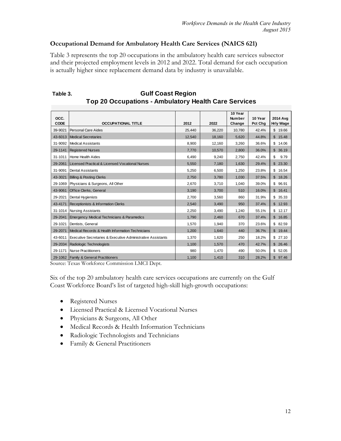## **Occupational Demand for Ambulatory Health Care Services (NAICS 621)**

Table 3 represents the top 20 occupations in the ambulatory health care services subsector and their projected employment levels in 2012 and 2022. Total demand for each occupation is actually higher since replacement demand data by industry is unavailable.

| OCC.        |                                                             |        |        | 10 Year<br><b>Number</b> | 10 Year | 2014 Ava              |
|-------------|-------------------------------------------------------------|--------|--------|--------------------------|---------|-----------------------|
| <b>CODE</b> | <b>OCCUPATIONAL TITLE</b>                                   | 2012   | 2022   | Change                   | Pct Chg | Hrly Wage             |
| 39-9021     | Personal Care Aides                                         | 25.440 | 36,220 | 10.780                   | 42.4%   | \$19.66               |
| 43-6013     | Medical Secretaries                                         | 12.540 | 18.160 | 5.620                    | 44.8%   | \$<br>15.48           |
| 31-9092     | Medical Assistants                                          | 8.900  | 12.160 | 3,260                    | 36.6%   | \$<br>14.06           |
| 29-1141     | <b>Registered Nurses</b>                                    | 7.770  | 10.570 | 2.800                    | 36.0%   | 36.19<br>\$           |
| 31-1011     | Home Health Aides                                           | 6,490  | 9.240  | 2,750                    | 42.4%   | \$<br>9.79            |
| 29-2061     | Licensed Practical & Licensed Vocational Nurses             | 5.550  | 7.180  | 1,630                    | 29.4%   | \$<br>23.30           |
| 31-9091     | <b>Dental Assistants</b>                                    | 5.250  | 6.500  | 1.250                    | 23.8%   | 16.54<br>\$           |
| 43-3021     | <b>Billing &amp; Posting Clerks</b>                         | 2,750  | 3,780  | 1,030                    | 37.5%   | 18.26<br>\$           |
| 29-1069     | Physicians & Surgeons, All Other                            | 2.670  | 3,710  | 1.040                    | 39.0%   | \$<br>96.91           |
| 43-9061     | <b>Office Clerks, General</b>                               | 3.190  | 3.700  | 510                      | 16.0%   | \$<br>16.41           |
| 29-2021     | Dental Hygienists                                           | 2.700  | 3.560  | 860                      | 31.9%   | \$<br>35.33           |
| 43-4171     | Receptionists & Information Clerks                          | 2.540  | 3.490  | 950                      | 37.4%   | 12.93<br>\$           |
| 31-1014     | <b>Nursing Assistants</b>                                   | 2,250  | 3,490  | 1.240                    | 55.1%   | 12.17<br>\$           |
| 29-2041     | Emergency Medical Technicians & Paramedics                  | 1.790  | 2.460  | 670                      | 37.4%   | \$<br>16.85           |
| 29-1021     | Dentists, General                                           | 1,570  | 1,940  | 370                      | 23.6%   | \$<br>82.59           |
| 29-2071     | Medical Records & Health Information Technicians            | 1.200  | 1.640  | 440                      | 36.7%   | 19.44<br>$\mathbb{S}$ |
| 43-6011     | Executive Secretaries & Executive Administrative Assistants | 1,370  | 1,620  | 250                      | 18.2%   | 27.10<br>\$           |
| 29-2034     | Radiologic Technologists                                    | 1.100  | 1.570  | 470                      | 42.7%   | $\mathbf{E}$<br>26.46 |
| 29-1171     | Nurse Practitioners                                         | 980    | 1.470  | 490                      | 50.0%   | \$<br>52.05           |
|             | 29-1062 Family & General Practitioners                      | 1,100  | 1,410  | 310                      | 28.2%   | $\mathbb{S}$<br>97.46 |

**Table 3. Gulf Coast Region Top 20 Occupations - Ambulatory Health Care Services**

Source: Texas Workforce Commission LMCI Dept.

Six of the top 20 ambulatory health care services occupations are currently on the Gulf Coast Workforce Board's list of targeted high-skill high-growth occupations:

- Registered Nurses
- Licensed Practical & Licensed Vocational Nurses
- Physicians & Surgeons, All Other
- Medical Records & Health Information Technicians
- Radiologic Technologists and Technicians
- Family & General Practitioners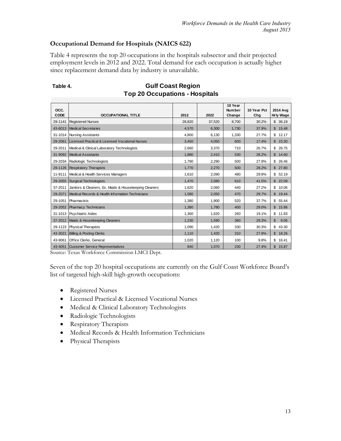## **Occupational Demand for Hospitals (NAICS 622)**

Table 4 represents the top 20 occupations in the hospitals subsector and their projected employment levels in 2012 and 2022. Total demand for each occupation is actually higher since replacement demand data by industry is unavailable.

| OCC.    |                                                        |        |        | 10 Year<br>Number | 10 Year Pct | 2014 Avg               |
|---------|--------------------------------------------------------|--------|--------|-------------------|-------------|------------------------|
| CODE    | <b>OCCUPATIONAL TITLE</b>                              | 2012   | 2022   | Change            | Chg         | <b>Hrly Wage</b>       |
| 29-1141 | <b>Registered Nurses</b>                               | 28,820 | 37,520 | 8,700             | 30.2%       | \$36.19                |
| 43-6013 | Medical Secretaries                                    | 4.570  | 6,300  | 1,730             | 37.9%       | \$<br>15.48            |
| 31-1014 | <b>Nursing Assistants</b>                              | 4.800  | 6.130  | 1.330             | 27.7%       | \$<br>12.17            |
| 29-2061 | Licensed Practical & Licensed Vocational Nurses        | 3,450  | 4,050  | 600               | 17.4%       | \$23.30                |
| 29-2011 | Medical & Clinical Laboratory Technologists            | 2.660  | 3.370  | 710               | 26.7%       | \$<br>28.75            |
| 31-9092 | Medical Assistants                                     | 1.880  | 2.410  | 530               | 28.2%       | \$<br>14.60            |
| 29-2034 | Radiologic Technologists                               | 1,790  | 2,290  | 500               | 27.9%       | \$26.46                |
| 29-1126 | <b>Respiratory Therapists</b>                          | 1,770  | 2,270  | 500               | 28.2%       | \$<br>27.80            |
| 11-9111 | Medical & Health Services Managers                     | 1.610  | 2,090  | 480               | 29.8%       | \$52.19                |
| 29-2055 | <b>Surgical Technologists</b>                          | 1,470  | 2,080  | 610               | 41.5%       | \$<br>22.09            |
| 37-2011 | Janitors & Cleaners, Ex. Maids & Housekeeping Cleaners | 1.620  | 2.060  | 440               | 27.2%       | \$<br>10.06            |
| 29-2071 | Medical Records & Health Information Technicians       | 1.580  | 2.050  | 470               | 29.7%       | \$19.44                |
| 29-1051 | Pharmacists                                            | 1,380  | 1,900  | 520               | 37.7%       | \$<br>55.44            |
| 29-2052 | <b>Pharmacy Technicians</b>                            | 1.380  | 1.780  | 400               | 29.0%       | \$<br>15.86            |
| 31-1013 | <b>Psychiatric Aides</b>                               | 1.360  | 1.620  | 260               | 19.1%       | \$<br>11.83            |
| 37-2012 | Maids & Housekeeping Cleaners                          | 1.230  | 1,590  | 360               | 29.3%       | $\mathfrak{L}$<br>9.06 |
| 29-1123 | <b>Physical Therapists</b>                             | 1.090  | 1,420  | 330               | 30.3%       | \$<br>43.30            |
| 43-3021 | <b>Billing &amp; Posting Clerks</b>                    | 1.110  | 1.420  | 310               | 27.9%       | \$<br>18.26            |
| 43-9061 | Office Clerks, General                                 | 1,020  | 1,120  | 100               | 9.8%        | \$<br>16.41            |
| 43-4051 | Customer Service Representatives                       | 840    | 1.070  | 230               | 27.4%       | \$<br>15.87            |

## Table 4. **Gulf Coast Region Top 20 Occupations - Hospitals**

Source: Texas Workforce Commission LMCI Dept.

Seven of the top 20 hospital occupations are currently on the Gulf Coast Workforce Board's list of targeted high-skill high-growth occupations:

- Registered Nurses
- Licensed Practical & Licensed Vocational Nurses
- Medical & Clinical Laboratory Technologists
- Radiologic Technologists
- Respiratory Therapists
- Medical Records & Health Information Technicians
- Physical Therapists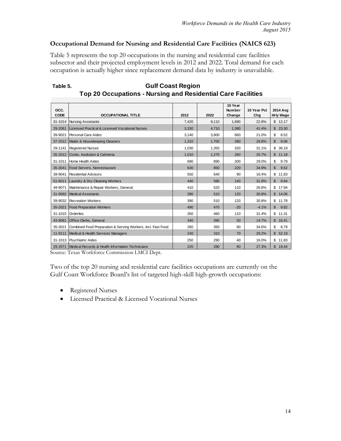#### **Occupational Demand for Nursing and Residential Care Facilities (NAICS 623)**

Table 5 represents the top 20 occupations in the nursing and residential care facilities subsector and their projected employment levels in 2012 and 2022. Total demand for each occupation is actually higher since replacement demand data by industry is unavailable.

|              |                                                              |       |       | 10 Year                 |                    |                       |
|--------------|--------------------------------------------------------------|-------|-------|-------------------------|--------------------|-----------------------|
| OCC.<br>CODE | <b>OCCUPATIONAL TITLE</b>                                    | 2012  | 2022  | <b>Number</b><br>Change | 10 Year Pct<br>Chg | 2014 Ava<br>Hrly Wage |
| 31-1014      | <b>Nursing Assistants</b>                                    | 7,420 | 9,110 | 1.690                   | 22.8%              | \$<br>12.17           |
| 29-2061      | Licensed Practical & Licensed Vocational Nurses              | 3.330 | 4.710 | 1.380                   | 41.4%              | \$<br>23.30           |
| 39-9021      | Personal Care Aides                                          | 3,140 | 3,800 | 660                     | 21.0%              | \$<br>8.52            |
| 37-2012      | Maids & Housekeeping Cleaners                                | 1.310 | 1.700 | 390                     | 29.8%              | \$<br>9.06            |
| 29-1141      | <b>Registered Nurses</b>                                     | 1,030 | 1,350 | 320                     | 31.1%              | \$<br>36.19           |
| 35-2012      | Cooks, Institution & Cafeteria                               | 1,010 | 1,270 | 260                     | 25.7%              | 11.18<br>\$           |
| $31 - 1011$  | Home Health Aides                                            | 690   | 890   | 200                     | 29.0%              | \$<br>9.79            |
| 35-3041      | Food Servers, Nonrestaurant                                  | 630   | 850   | 220                     | 34.9%              | \$<br>9.52            |
| 39-9041      | <b>Residential Advisors</b>                                  | 550   | 640   | 90                      | 16.4%              | \$<br>11.83           |
| 51-6011      | Laundry & Dry-Cleaning Workers                               | 440   | 580   | 140                     | 31.8%              | \$<br>9.94            |
| 49-9071      | Maintenance & Repair Workers, General                        | 410   | 520   | 110                     | 26.8%              | \$<br>17.94           |
| 31-9092      | Medical Assistants                                           | 390   | 510   | 120                     | 30.8%              | \$<br>14.06           |
| 39-9032      | <b>Recreation Workers</b>                                    | 390   | 510   | 120                     | 30.8%              | \$<br>11.78           |
| 35-2021      | <b>Food Preparation Workers</b>                              | 490   | 470   | $-20$                   | $-4.1%$            | 9.82<br>\$            |
| 31-1015      | <b>Orderlies</b>                                             | 350   | 460   | 110                     | 31.4%              | \$<br>11.31           |
| 43-9061      | <b>Office Clerks, General</b>                                | 340   | 390   | 50                      | 14.7%              | \$<br>16.41           |
| 35-3021      | Combined Food Preparation & Serving Workers, Incl. Fast Food | 260   | 350   | 90                      | 34.6%              | \$<br>8.79            |
| 11-9111      | Medical & Health Services Managers                           | 240   | 310   | 70                      | 29.2%              | \$<br>52.19           |
| 31-1013      | <b>Psychiatric Aides</b>                                     | 250   | 290   | 40                      | 16.0%              | \$<br>11.83           |
|              | 29-2071 Medical Records & Health Information Technicians     | 220   | 280   | 60                      | 27.3%              | \$<br>19.44           |

Table 5. **Gulf Coast Region Top 20 Occupations - Nursing and Residential Care Facilities**

Source: Texas Workforce Commission LMCI Dept.

Two of the top 20 nursing and residential care facilities occupations are currently on the Gulf Coast Workforce Board's list of targeted high-skill high-growth occupations:

- Registered Nurses
- Licensed Practical & Licensed Vocational Nurses